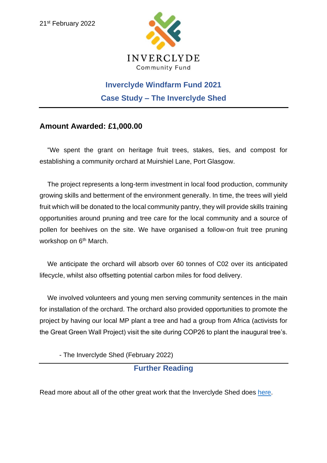

## **Inverclyde Windfarm Fund 2021 Case Study – The Inverclyde Shed**

## **Amount Awarded: £1,000.00**

"We spent the grant on heritage fruit trees, stakes, ties, and compost for establishing a community orchard at Muirshiel Lane, Port Glasgow.

The project represents a long-term investment in local food production, community growing skills and betterment of the environment generally. In time, the trees will yield fruit which will be donated to the local community pantry, they will provide skills training opportunities around pruning and tree care for the local community and a source of pollen for beehives on the site. We have organised a follow-on fruit tree pruning workshop on 6<sup>th</sup> March.

We anticipate the orchard will absorb over 60 tonnes of C02 over its anticipated lifecycle, whilst also offsetting potential carbon miles for food delivery.

We involved volunteers and young men serving community sentences in the main for installation of the orchard. The orchard also provided opportunities to promote the project by having our local MP plant a tree and had a group from Africa (activists for the Great Green Wall Project) visit the site during COP26 to plant the inaugural tree's.

- The Inverclyde Shed (February 2022)

## **Further Reading**

Read more about all of the other great work that the Inverclyde Shed does [here.](https://inverclydeshed.co.uk/)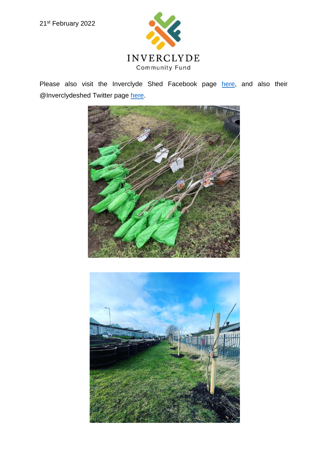

Please also visit the Inverclyde Shed Facebook page [here,](https://www.facebook.com/groups/inverclydeshed/) and also their @Inverclydeshed Twitter page [here.](https://twitter.com/Inverclydeshed?ref_src=twsrc%5Egoogle%7Ctwcamp%5Eserp%7Ctwgr%5Eauthor)